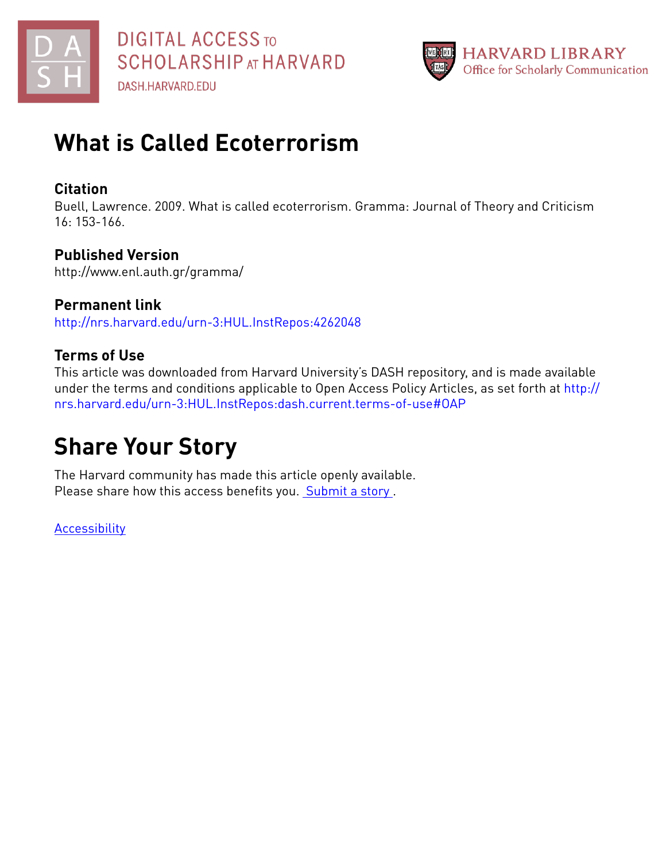



### **Citation**

Buell, Lawrence. 2009. What is called ecoterrorism. Gramma: Journal of Theory and Criticism 16: 153-166.

## **Published Version**

http://www.enl.auth.gr/gramma/

**Permanent link** <http://nrs.harvard.edu/urn-3:HUL.InstRepos:4262048>

## **Terms of Use**

This article was downloaded from Harvard University's DASH repository, and is made available under the terms and conditions applicable to Open Access Policy Articles, as set forth at [http://](http://nrs.harvard.edu/urn-3:HUL.InstRepos:dash.current.terms-of-use#OAP) [nrs.harvard.edu/urn-3:HUL.InstRepos:dash.current.terms-of-use#OAP](http://nrs.harvard.edu/urn-3:HUL.InstRepos:dash.current.terms-of-use#OAP)

# **Share Your Story**

The Harvard community has made this article openly available. Please share how this access benefits you. [Submit](http://osc.hul.harvard.edu/dash/open-access-feedback?handle=&title=What%20is%20Called%20Ecoterrorism&community=1/1&collection=1/2&owningCollection1/2&harvardAuthors=71d4cf2d1a5b62b1b109c7afac3b811f&departmentEnglish%20and%20American%20Literature%20and%20Language) a story.

**[Accessibility](https://dash.harvard.edu/pages/accessibility)**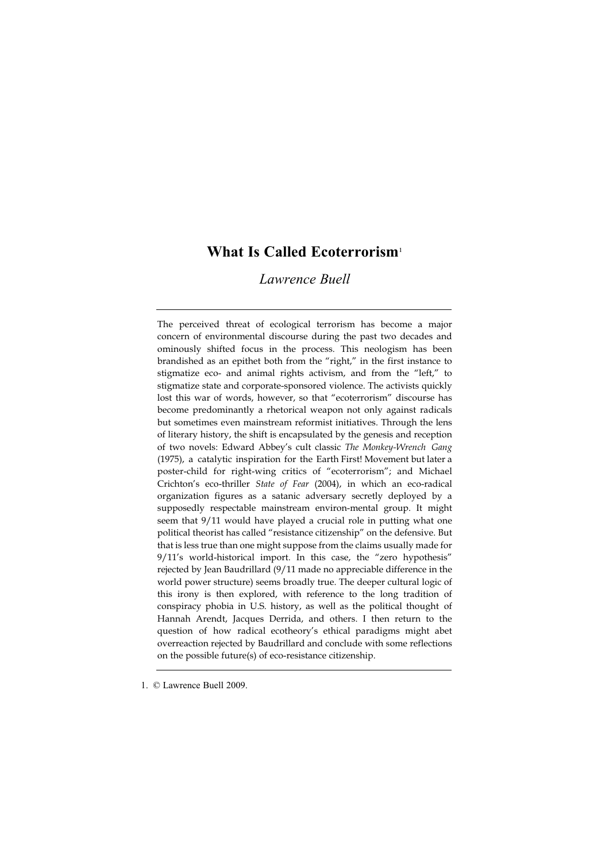### What Is Called Ecoterrorism<sup>1</sup>

*Lawrence Buell*

The perceived threat of ecological terrorism has become a major concern of environmental discourse during the past two decades and ominously shifted focus in the process. This neologism has been brandished as an epithet both from the "right," in the first instance to stigmatize eco- and animal rights activism, and from the "left," to stigmatize state and corporate-sponsored violence. The activists quickly lost this war of words, however, so that "ecoterrorism" discourse has become predominantly a rhetorical weapon not only against radicals but sometimes even mainstream reformist initiatives. Through the lens of literary history, the shift is encapsulated by the genesis and reception of two novels: Edward Abbey's cult classic *The Monkey-Wrench Gang* (1975), a catalytic inspiration for the Earth First! Movement but later a poster-child for right-wing critics of "ecoterrorism"; and Michael Crichton's eco-thriller *State of Fear* (2004), in which an eco-radical organization figures as a satanic adversary secretly deployed by a supposedly respectable mainstream environ-mental group. It might seem that 9/11 would have played a crucial role in putting what one political theorist has called "resistance citizenship" on the defensive. But that is less true than one might suppose from the claims usually made for 9/11's world-historical import. In this case, the "zero hypothesis" rejected by Jean Baudrillard (9/11 made no appreciable difference in the world power structure) seems broadly true. The deeper cultural logic of this irony is then explored, with reference to the long tradition of conspiracy phobia in U.S. history, as well as the political thought of Hannah Arendt, Jacques Derrida, and others. I then return to the question of how radical ecotheory's ethical paradigms might abet overreaction rejected by Baudrillard and conclude with some reflections on the possible future(s) of eco-resistance citizenship.

1. © Lawrence Buell 2009.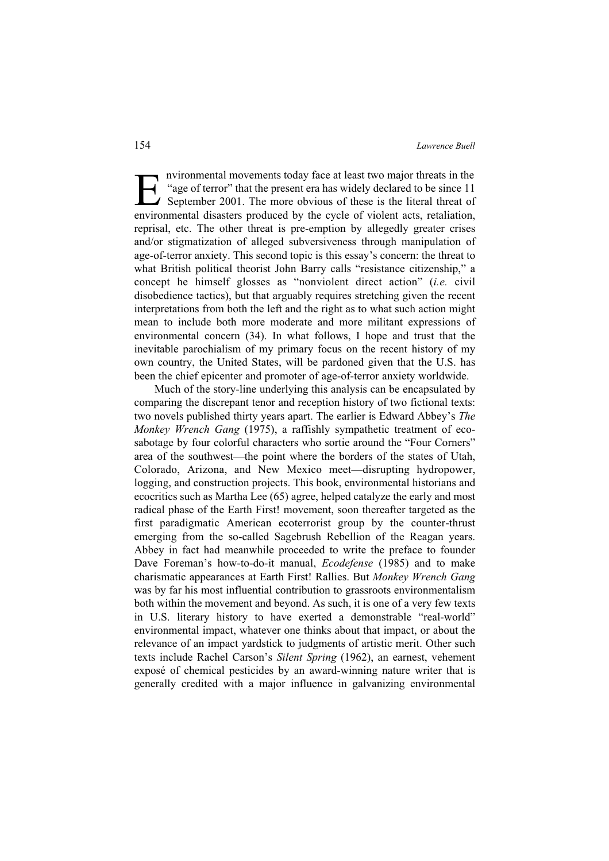Invironmental movements today face at least two major threats in the<br>
"age of terror" that the present era has widely declared to be since 11<br>
September 2001. The more obvious of these is the literal threat of<br>
environment "age of terror" that the present era has widely declared to be since 11 September 2001. The more obvious of these is the literal threat of environmental disasters produced by the cycle of violent acts, retaliation, reprisal, etc. The other threat is pre-emption by allegedly greater crises and/or stigmatization of alleged subversiveness through manipulation of age-of-terror anxiety. This second topic is this essay's concern: the threat to what British political theorist John Barry calls "resistance citizenship," a concept he himself glosses as "nonviolent direct action" (*i.e.* civil disobedience tactics), but that arguably requires stretching given the recent interpretations from both the left and the right as to what such action might mean to include both more moderate and more militant expressions of environmental concern (34). In what follows, I hope and trust that the inevitable parochialism of my primary focus on the recent history of my own country, the United States, will be pardoned given that the U.S. has been the chief epicenter and promoter of age-of-terror anxiety worldwide.

Much of the story-line underlying this analysis can be encapsulated by comparing the discrepant tenor and reception history of two fictional texts: two novels published thirty years apart. The earlier is Edward Abbey's *The Monkey Wrench Gang* (1975), a raffishly sympathetic treatment of ecosabotage by four colorful characters who sortie around the "Four Corners" area of the southwest—the point where the borders of the states of Utah, Colorado, Arizona, and New Mexico meet—disrupting hydropower, logging, and construction projects. This book, environmental historians and ecocritics such as Martha Lee (65) agree, helped catalyze the early and most radical phase of the Earth First! movement, soon thereafter targeted as the first paradigmatic American ecoterrorist group by the counter-thrust emerging from the so-called Sagebrush Rebellion of the Reagan years. Abbey in fact had meanwhile proceeded to write the preface to founder Dave Foreman's how-to-do-it manual, *Ecodefense* (1985) and to make charismatic appearances at Earth First! Rallies. But *Monkey Wrench Gang* was by far his most influential contribution to grassroots environmentalism both within the movement and beyond. As such, it is one of a very few texts in U.S. literary history to have exerted a demonstrable "real-world" environmental impact, whatever one thinks about that impact, or about the relevance of an impact yardstick to judgments of artistic merit. Other such texts include Rachel Carson's *Silent Spring* (1962), an earnest, vehement exposé of chemical pesticides by an award-winning nature writer that is generally credited with a major influence in galvanizing environmental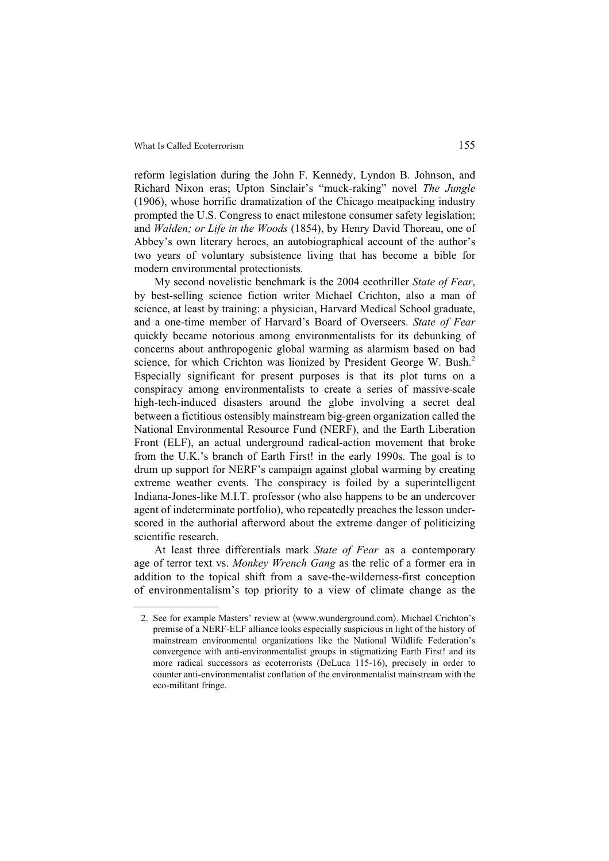reform legislation during the John F. Kennedy, Lyndon B. Johnson, and Richard Nixon eras; Upton Sinclair's "muck-raking" novel *The Jungle* (1906), whose horrific dramatization of the Chicago meatpacking industry prompted the U.S. Congress to enact milestone consumer safety legislation; and *Walden; or Life in the Woods* (1854), by Henry David Thoreau, one of Abbey's own literary heroes, an autobiographical account of the author's two years of voluntary subsistence living that has become a bible for modern environmental protectionists.

My second novelistic benchmark is the 2004 ecothriller *State of Fear*, by best-selling science fiction writer Michael Crichton, also a man of science, at least by training: a physician, Harvard Medical School graduate, and a one-time member of Harvard's Board of Overseers. *State of Fear* quickly became notorious among environmentalists for its debunking of concerns about anthropogenic global warming as alarmism based on bad science, for which Crichton was lionized by President George W. Bush.<sup>2</sup> Especially significant for present purposes is that its plot turns on a conspiracy among environmentalists to create a series of massive-scale high-tech-induced disasters around the globe involving a secret deal between a fictitious ostensibly mainstream big-green organization called the National Environmental Resource Fund (NERF), and the Earth Liberation Front (ELF), an actual underground radical-action movement that broke from the U.K.'s branch of Earth First! in the early 1990s. The goal is to drum up support for NERF's campaign against global warming by creating extreme weather events. The conspiracy is foiled by a superintelligent Indiana-Jones-like M.I.T. professor (who also happens to be an undercover agent of indeterminate portfolio), who repeatedly preaches the lesson underscored in the authorial afterword about the extreme danger of politicizing scientific research.

At least three differentials mark *State of Fear* as a contemporary age of terror text vs. *Monkey Wrench Gang* as the relic of a former era in addition to the topical shift from a save-the-wilderness-first conception of environmentalism's top priority to a view of climate change as the

<sup>2.</sup> See for example Masters' review at  $\langle www.wunderground.com)$ . Michael Crichton's premise of a NERF-ELF alliance looks especially suspicious in light of the history of mainstream environmental organizations like the National Wildlife Federation's convergence with anti-environmentalist groups in stigmatizing Earth First! and its more radical successors as ecoterrorists (DeLuca 115-16), precisely in order to counter anti-environmentalist conflation of the environmentalist mainstream with the eco-militant fringe.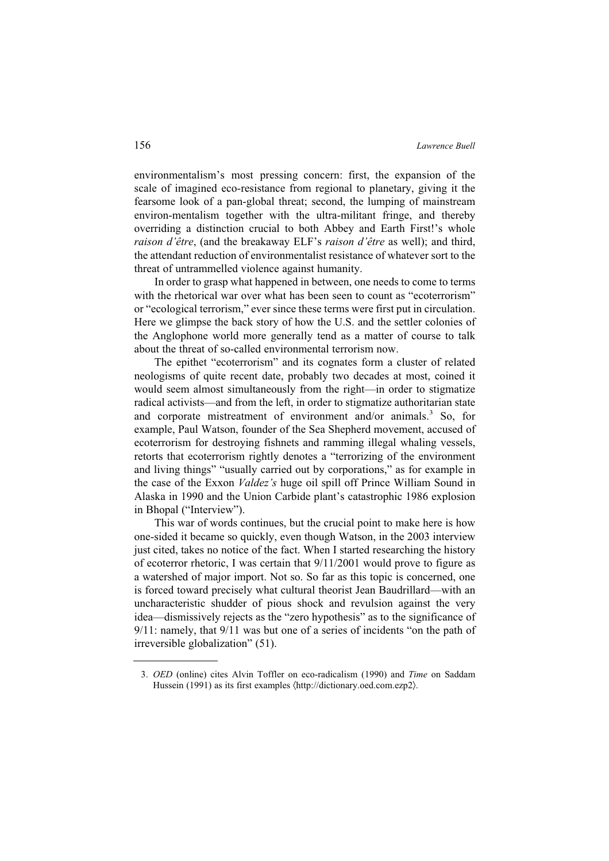environmentalism's most pressing concern: first, the expansion of the scale of imagined eco-resistance from regional to planetary, giving it the fearsome look of a pan-global threat; second, the lumping of mainstream environ-mentalism together with the ultra-militant fringe, and thereby overriding a distinction crucial to both Abbey and Earth First!'s whole *raison d'être*, (and the breakaway ELF's *raison d'être* as well); and third, the attendant reduction of environmentalist resistance of whatever sort to the threat of untrammelled violence against humanity.

In order to grasp what happened in between, one needs to come to terms with the rhetorical war over what has been seen to count as "ecoterrorism" or "ecological terrorism," ever since these terms were first put in circulation. Here we glimpse the back story of how the U.S. and the settler colonies of the Anglophone world more generally tend as a matter of course to talk about the threat of so-called environmental terrorism now.

The epithet "ecoterrorism" and its cognates form a cluster of related neologisms of quite recent date, probably two decades at most, coined it would seem almost simultaneously from the right—in order to stigmatize radical activists—and from the left, in order to stigmatize authoritarian state and corporate mistreatment of environment and/or animals.<sup>3</sup> So, for example, Paul Watson, founder of the Sea Shepherd movement, accused of ecoterrorism for destroying fishnets and ramming illegal whaling vessels, retorts that ecoterrorism rightly denotes a "terrorizing of the environment and living things" "usually carried out by corporations," as for example in the case of the Exxon *Valdez's* huge oil spill off Prince William Sound in Alaska in 1990 and the Union Carbide plant's catastrophic 1986 explosion in Bhopal ("Interview").

This war of words continues, but the crucial point to make here is how one-sided it became so quickly, even though Watson, in the 2003 interview just cited, takes no notice of the fact. When I started researching the history of ecoterror rhetoric, I was certain that 9/11/2001 would prove to figure as a watershed of major import. Not so. So far as this topic is concerned, one is forced toward precisely what cultural theorist Jean Baudrillard—with an uncharacteristic shudder of pious shock and revulsion against the very idea—dismissively rejects as the "zero hypothesis" as to the significance of 9/11: namely, that 9/11 was but one of a series of incidents "on the path of irreversible globalization" (51).

<sup>3.</sup> *OED* (online) cites Alvin Toffler on eco-radicalism (1990) and *Time* on Saddam Hussein (1991) as its first examples  $\langle$ http://dictionary.oed.com.ezp2 $\rangle$ .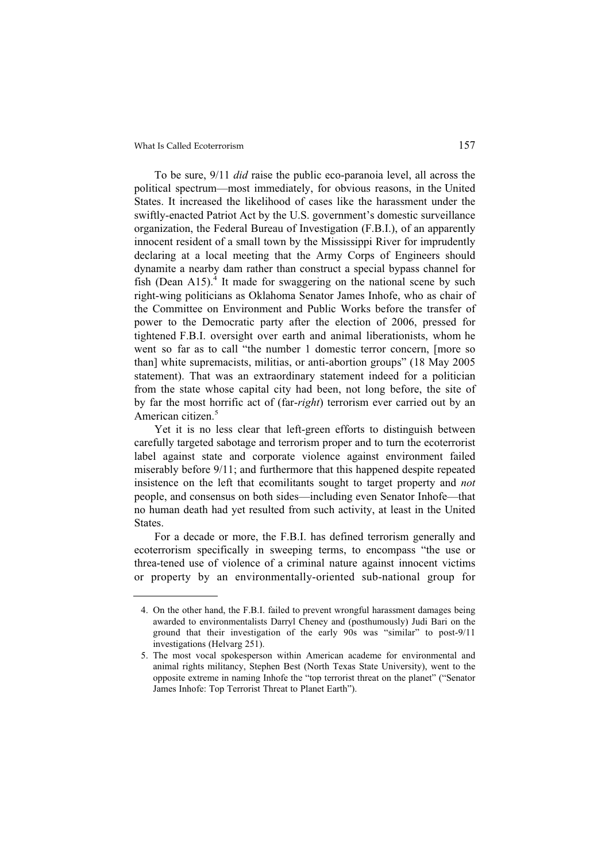To be sure, 9/11 *did* raise the public eco-paranoia level, all across the political spectrum—most immediately, for obvious reasons, in the United States. It increased the likelihood of cases like the harassment under the swiftly-enacted Patriot Act by the U.S. government's domestic surveillance organization, the Federal Bureau of Investigation (F.B.I.), of an apparently innocent resident of a small town by the Mississippi River for imprudently declaring at a local meeting that the Army Corps of Engineers should dynamite a nearby dam rather than construct a special bypass channel for fish (Dean  $A15$ ).<sup>4</sup> It made for swaggering on the national scene by such right-wing politicians as Oklahoma Senator James Inhofe, who as chair of the Committee on Environment and Public Works before the transfer of power to the Democratic party after the election of 2006, pressed for tightened F.B.I. oversight over earth and animal liberationists, whom he went so far as to call "the number 1 domestic terror concern, [more so than] white supremacists, militias, or anti-abortion groups" (18 May 2005 statement). That was an extraordinary statement indeed for a politician from the state whose capital city had been, not long before, the site of by far the most horrific act of (far-*right*) terrorism ever carried out by an American citizen.<sup>5</sup>

Yet it is no less clear that left-green efforts to distinguish between carefully targeted sabotage and terrorism proper and to turn the ecoterrorist label against state and corporate violence against environment failed miserably before 9/11; and furthermore that this happened despite repeated insistence on the left that ecomilitants sought to target property and *not* people, and consensus on both sides—including even Senator Inhofe—that no human death had yet resulted from such activity, at least in the United **States**.

For a decade or more, the F.B.I. has defined terrorism generally and ecoterrorism specifically in sweeping terms, to encompass "the use or threa-tened use of violence of a criminal nature against innocent victims or property by an environmentally-oriented sub-national group for

<sup>4.</sup> On the other hand, the F.B.I. failed to prevent wrongful harassment damages being awarded to environmentalists Darryl Cheney and (posthumously) Judi Bari on the ground that their investigation of the early 90s was "similar" to post-9/11 investigations (Helvarg 251).

<sup>5.</sup> The most vocal spokesperson within American academe for environmental and animal rights militancy, Stephen Best (North Texas State University), went to the opposite extreme in naming Inhofe the "top terrorist threat on the planet" ("Senator James Inhofe: Top Terrorist Threat to Planet Earth").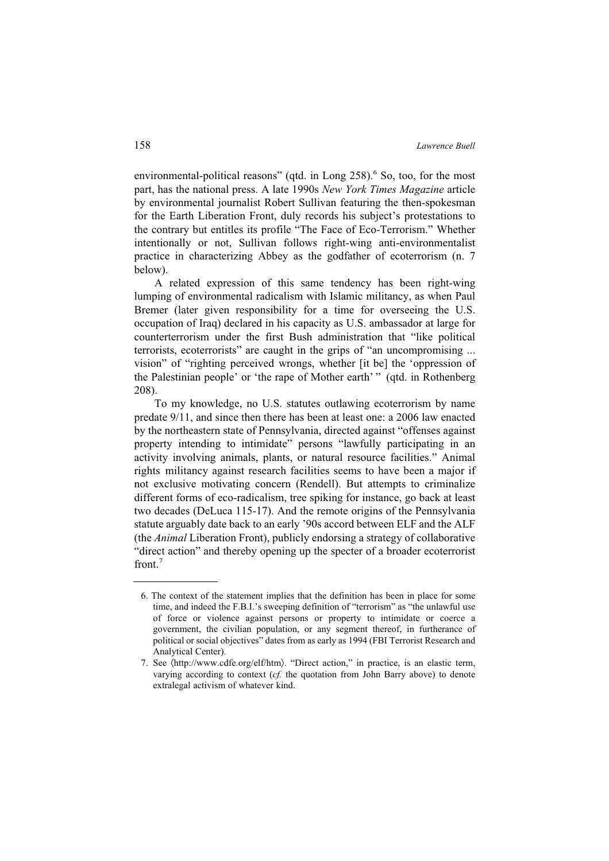environmental-political reasons" (qtd. in Long 258).<sup>6</sup> So, too, for the most part, has the national press. A late 1990s *New York Times Magazine* article by environmental journalist Robert Sullivan featuring the then-spokesman for the Earth Liberation Front, duly records his subject's protestations to the contrary but entitles its profile "The Face of Eco-Terrorism." Whether intentionally or not, Sullivan follows right-wing anti-environmentalist practice in characterizing Abbey as the godfather of ecoterrorism (n. 7 below).

A related expression of this same tendency has been right-wing lumping of environmental radicalism with Islamic militancy, as when Paul Bremer (later given responsibility for a time for overseeing the U.S. occupation of Iraq) declared in his capacity as U.S. ambassador at large for counterterrorism under the first Bush administration that "like political terrorists, ecoterrorists" are caught in the grips of "an uncompromising ... vision" of "righting perceived wrongs, whether [it be] the 'oppression of the Palestinian people' or 'the rape of Mother earth' " (qtd. in Rothenberg 208).

To my knowledge, no U.S. statutes outlawing ecoterrorism by name predate 9/11, and since then there has been at least one: a 2006 law enacted by the northeastern state of Pennsylvania, directed against "offenses against property intending to intimidate" persons "lawfully participating in an activity involving animals, plants, or natural resource facilities." Animal rights militancy against research facilities seems to have been a major if not exclusive motivating concern (Rendell). But attempts to criminalize different forms of eco-radicalism, tree spiking for instance, go back at least two decades (DeLuca 115-17). And the remote origins of the Pennsylvania statute arguably date back to an early '90s accord between ELF and the ALF (the *Animal* Liberation Front), publicly endorsing a strategy of collaborative "direct action" and thereby opening up the specter of a broader ecoterrorist front.<sup>7</sup>

<sup>6.</sup> The context of the statement implies that the definition has been in place for some time, and indeed the F.B.I.'s sweeping definition of "terrorism" as "the unlawful use of force or violence against persons or property to intimidate or coerce a government, the civilian population, or any segment thereof, in furtherance of political or social objectives" dates from as early as 1994 (FBI Terrorist Research and Analytical Center).

<sup>7.</sup> See  $\langle$ http://www.cdfe.org/elf/htm $\rangle$ . "Direct action," in practice, is an elastic term, varying according to context (*cf.* the quotation from John Barry above) to denote extralegal activism of whatever kind.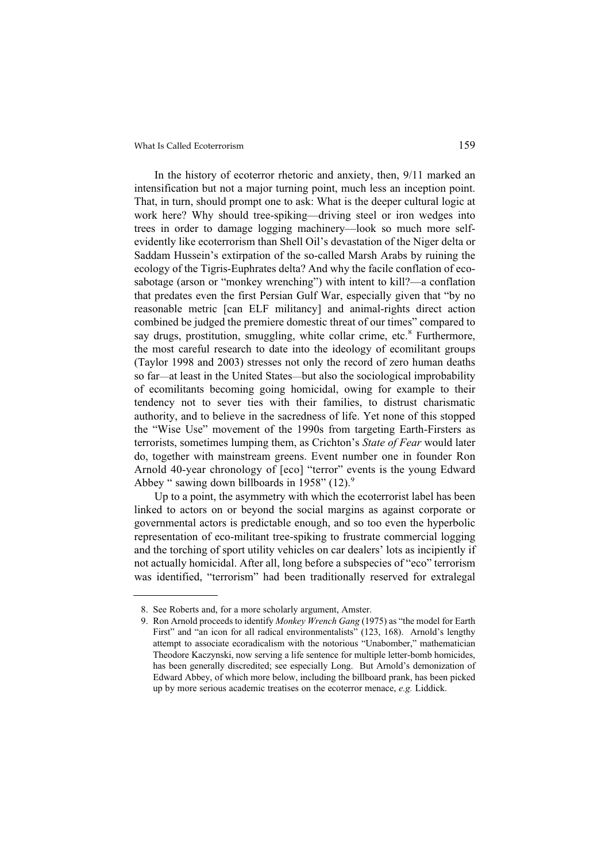In the history of ecoterror rhetoric and anxiety, then, 9/11 marked an intensification but not a major turning point, much less an inception point. That, in turn, should prompt one to ask: What is the deeper cultural logic at work here? Why should tree-spiking—driving steel or iron wedges into trees in order to damage logging machinery—look so much more selfevidently like ecoterrorism than Shell Oil's devastation of the Niger delta or Saddam Hussein's extirpation of the so-called Marsh Arabs by ruining the ecology of the Tigris-Euphrates delta? And why the facile conflation of ecosabotage (arson or "monkey wrenching") with intent to kill?—a conflation that predates even the first Persian Gulf War, especially given that "by no reasonable metric [can ELF militancy] and animal-rights direct action combined be judged the premiere domestic threat of our times" compared to say drugs, prostitution, smuggling, white collar crime, etc.<sup>8</sup> Furthermore, the most careful research to date into the ideology of ecomilitant groups (Taylor 1998 and 2003) stresses not only the record of zero human deaths so far—at least in the United States—but also the sociological improbability of ecomilitants becoming going homicidal, owing for example to their tendency not to sever ties with their families, to distrust charismatic authority, and to believe in the sacredness of life. Yet none of this stopped the "Wise Use" movement of the 1990s from targeting Earth-Firsters as terrorists, sometimes lumping them, as Crichton's *State of Fear* would later do, together with mainstream greens. Event number one in founder Ron Arnold 40-year chronology of [eco] "terror" events is the young Edward Abbey " sawing down billboards in 1958" (12).<sup>9</sup>

Up to a point, the asymmetry with which the ecoterrorist label has been linked to actors on or beyond the social margins as against corporate or governmental actors is predictable enough, and so too even the hyperbolic representation of eco-militant tree-spiking to frustrate commercial logging and the torching of sport utility vehicles on car dealers' lots as incipiently if not actually homicidal. After all, long before a subspecies of "eco" terrorism was identified, "terrorism" had been traditionally reserved for extralegal

<sup>8.</sup> See Roberts and, for a more scholarly argument, Amster.

<sup>9.</sup> Ron Arnold proceeds to identify *Monkey Wrench Gang* (1975) as "the model for Earth First" and "an icon for all radical environmentalists" (123, 168). Arnold's lengthy attempt to associate ecoradicalism with the notorious "Unabomber," mathematician Theodore Kaczynski, now serving a life sentence for multiple letter-bomb homicides, has been generally discredited; see especially Long. But Arnold's demonization of Edward Abbey, of which more below, including the billboard prank, has been picked up by more serious academic treatises on the ecoterror menace, *e.g.* Liddick.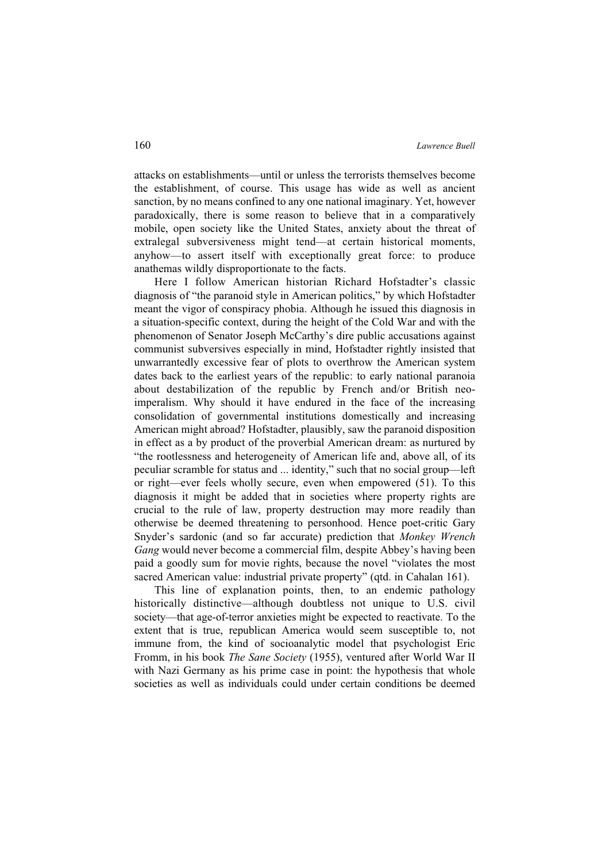attacks on establishments—until or unless the terrorists themselves become the establishment, of course. This usage has wide as well as ancient sanction, by no means confined to any one national imaginary. Yet, however paradoxically, there is some reason to believe that in a comparatively mobile, open society like the United States, anxiety about the threat of extralegal subversiveness might tend—at certain historical moments, anyhow—to assert itself with exceptionally great force: to produce anathemas wildly disproportionate to the facts.

Here I follow American historian Richard Hofstadter's classic diagnosis of "the paranoid style in American politics," by which Hofstadter meant the vigor of conspiracy phobia. Although he issued this diagnosis in a situation-specific context, during the height of the Cold War and with the phenomenon of Senator Joseph McCarthy's dire public accusations against communist subversives especially in mind, Hofstadter rightly insisted that unwarrantedly excessive fear of plots to overthrow the American system dates back to the earliest years of the republic: to early national paranoia about destabilization of the republic by French and/or British neoimperalism. Why should it have endured in the face of the increasing consolidation of governmental institutions domestically and increasing American might abroad? Hofstadter, plausibly, saw the paranoid disposition in effect as a by product of the proverbial American dream: as nurtured by "the rootlessness and heterogeneity of American life and, above all, of its peculiar scramble for status and ... identity," such that no social group—left or right—ever feels wholly secure, even when empowered (51). To this diagnosis it might be added that in societies where property rights are crucial to the rule of law, property destruction may more readily than otherwise be deemed threatening to personhood. Hence poet-critic Gary Snyder's sardonic (and so far accurate) prediction that *Monkey Wrench Gang* would never become a commercial film, despite Abbey's having been paid a goodly sum for movie rights, because the novel "violates the most sacred American value: industrial private property" (qtd. in Cahalan 161).

This line of explanation points, then, to an endemic pathology historically distinctive—although doubtless not unique to U.S. civil society—that age-of-terror anxieties might be expected to reactivate. To the extent that is true, republican America would seem susceptible to, not immune from, the kind of socioanalytic model that psychologist Eric Fromm, in his book *The Sane Society* (1955), ventured after World War II with Nazi Germany as his prime case in point: the hypothesis that whole societies as well as individuals could under certain conditions be deemed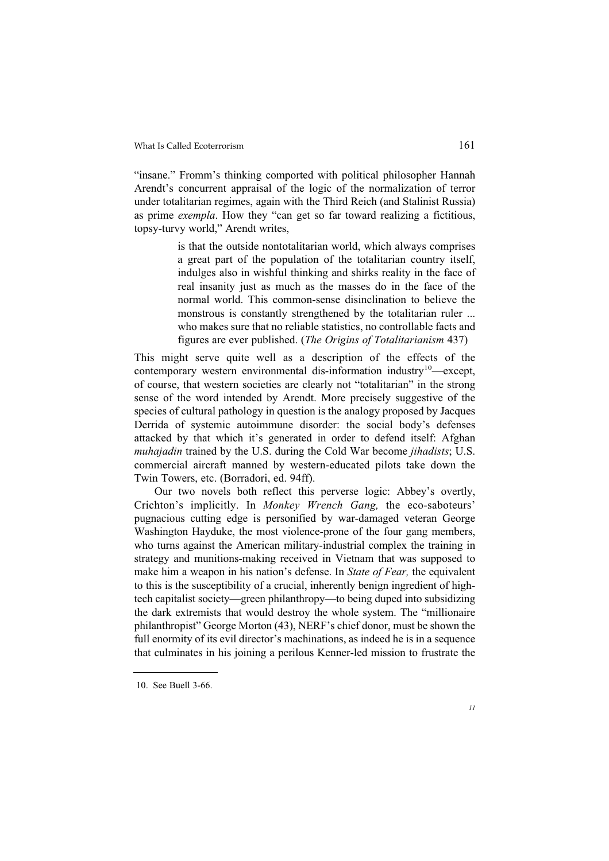"insane." Fromm's thinking comported with political philosopher Hannah Arendt's concurrent appraisal of the logic of the normalization of terror under totalitarian regimes, again with the Third Reich (and Stalinist Russia) as prime *exempla*. How they "can get so far toward realizing a fictitious, topsy-turvy world," Arendt writes,

> is that the outside nontotalitarian world, which always comprises a great part of the population of the totalitarian country itself, indulges also in wishful thinking and shirks reality in the face of real insanity just as much as the masses do in the face of the normal world. This common-sense disinclination to believe the monstrous is constantly strengthened by the totalitarian ruler ... who makes sure that no reliable statistics, no controllable facts and figures are ever published. (*The Origins of Totalitarianism* 437)

This might serve quite well as a description of the effects of the contemporary western environmental dis-information industry<sup>10</sup>—except, of course, that western societies are clearly not "totalitarian" in the strong sense of the word intended by Arendt. More precisely suggestive of the species of cultural pathology in question is the analogy proposed by Jacques Derrida of systemic autoimmune disorder: the social body's defenses attacked by that which it's generated in order to defend itself: Afghan *muhajadin* trained by the U.S. during the Cold War become *jihadists*; U.S. commercial aircraft manned by western-educated pilots take down the Twin Towers, etc. (Borradori, ed. 94ff).

Our two novels both reflect this perverse logic: Abbey's overtly, Crichton's implicitly. In *Monkey Wrench Gang,* the eco-saboteurs' pugnacious cutting edge is personified by war-damaged veteran George Washington Hayduke, the most violence-prone of the four gang members, who turns against the American military-industrial complex the training in strategy and munitions-making received in Vietnam that was supposed to make him a weapon in his nation's defense. In *State of Fear,* the equivalent to this is the susceptibility of a crucial, inherently benign ingredient of hightech capitalist society—green philanthropy—to being duped into subsidizing the dark extremists that would destroy the whole system. The "millionaire philanthropist" George Morton (43), NERF's chief donor, must be shown the full enormity of its evil director's machinations, as indeed he is in a sequence that culminates in his joining a perilous Kenner-led mission to frustrate the

<sup>10.</sup> See Buell 3-66.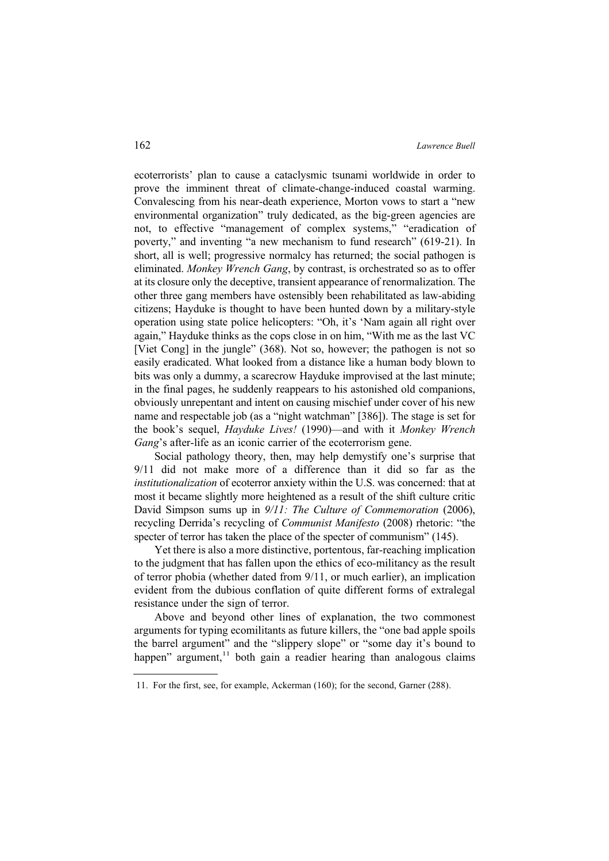ecoterrorists' plan to cause a cataclysmic tsunami worldwide in order to prove the imminent threat of climate-change-induced coastal warming. Convalescing from his near-death experience, Morton vows to start a "new environmental organization" truly dedicated, as the big-green agencies are not, to effective "management of complex systems," "eradication of poverty," and inventing "a new mechanism to fund research" (619-21). In short, all is well; progressive normalcy has returned; the social pathogen is eliminated. *Monkey Wrench Gang*, by contrast, is orchestrated so as to offer at its closure only the deceptive, transient appearance of renormalization. The other three gang members have ostensibly been rehabilitated as law-abiding citizens; Hayduke is thought to have been hunted down by a military-style operation using state police helicopters: "Oh, it's 'Nam again all right over again," Hayduke thinks as the cops close in on him, "With me as the last VC [Viet Cong] in the jungle" (368). Not so, however; the pathogen is not so easily eradicated. What looked from a distance like a human body blown to bits was only a dummy, a scarecrow Hayduke improvised at the last minute; in the final pages, he suddenly reappears to his astonished old companions, obviously unrepentant and intent on causing mischief under cover of his new name and respectable job (as a "night watchman" [386]). The stage is set for the book's sequel, *Hayduke Lives!* (1990)—and with it *Monkey Wrench Gang*'s after-life as an iconic carrier of the ecoterrorism gene.

Social pathology theory, then, may help demystify one's surprise that 9/11 did not make more of a difference than it did so far as the *institutionalization* of ecoterror anxiety within the U.S. was concerned: that at most it became slightly more heightened as a result of the shift culture critic David Simpson sums up in *9/11: The Culture of Commemoration* (2006), recycling Derrida's recycling of *Communist Manifesto* (2008) rhetoric: "the specter of terror has taken the place of the specter of communism" (145).

Yet there is also a more distinctive, portentous, far-reaching implication to the judgment that has fallen upon the ethics of eco-militancy as the result of terror phobia (whether dated from 9/11, or much earlier), an implication evident from the dubious conflation of quite different forms of extralegal resistance under the sign of terror.

Above and beyond other lines of explanation, the two commonest arguments for typing ecomilitants as future killers, the "one bad apple spoils the barrel argument" and the "slippery slope" or "some day it's bound to happen" argument, $11$  both gain a readier hearing than analogous claims

<sup>11.</sup> For the first, see, for example, Ackerman (160); for the second, Garner (288).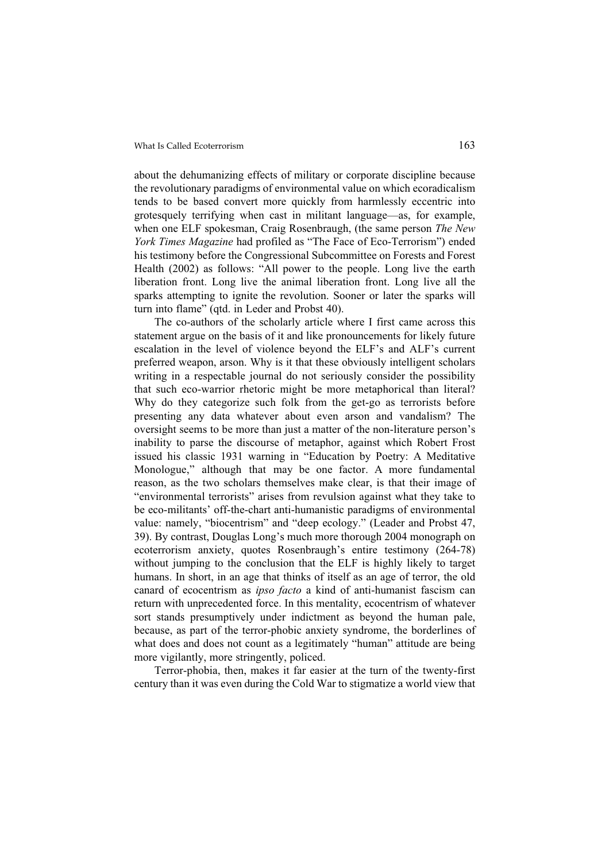about the dehumanizing effects of military or corporate discipline because the revolutionary paradigms of environmental value on which ecoradicalism tends to be based convert more quickly from harmlessly eccentric into grotesquely terrifying when cast in militant language—as, for example, when one ELF spokesman, Craig Rosenbraugh, (the same person *The New York Times Magazine* had profiled as "The Face of Eco-Terrorism") ended his testimony before the Congressional Subcommittee on Forests and Forest Health (2002) as follows: "All power to the people. Long live the earth liberation front. Long live the animal liberation front. Long live all the sparks attempting to ignite the revolution. Sooner or later the sparks will turn into flame" (qtd. in Leder and Probst 40).

The co-authors of the scholarly article where I first came across this statement argue on the basis of it and like pronouncements for likely future escalation in the level of violence beyond the ELF's and ALF's current preferred weapon, arson. Why is it that these obviously intelligent scholars writing in a respectable journal do not seriously consider the possibility that such eco-warrior rhetoric might be more metaphorical than literal? Why do they categorize such folk from the get-go as terrorists before presenting any data whatever about even arson and vandalism? The oversight seems to be more than just a matter of the non-literature person's inability to parse the discourse of metaphor, against which Robert Frost issued his classic 1931 warning in "Education by Poetry: A Meditative Monologue," although that may be one factor. A more fundamental reason, as the two scholars themselves make clear, is that their image of "environmental terrorists" arises from revulsion against what they take to be eco-militants' off-the-chart anti-humanistic paradigms of environmental value: namely, "biocentrism" and "deep ecology." (Leader and Probst 47, 39). By contrast, Douglas Long's much more thorough 2004 monograph on ecoterrorism anxiety, quotes Rosenbraugh's entire testimony (264-78) without jumping to the conclusion that the ELF is highly likely to target humans. In short, in an age that thinks of itself as an age of terror, the old canard of ecocentrism as *ipso facto* a kind of anti-humanist fascism can return with unprecedented force. In this mentality, ecocentrism of whatever sort stands presumptively under indictment as beyond the human pale, because, as part of the terror-phobic anxiety syndrome, the borderlines of what does and does not count as a legitimately "human" attitude are being more vigilantly, more stringently, policed.

Terror-phobia, then, makes it far easier at the turn of the twenty-first century than it was even during the Cold War to stigmatize a world view that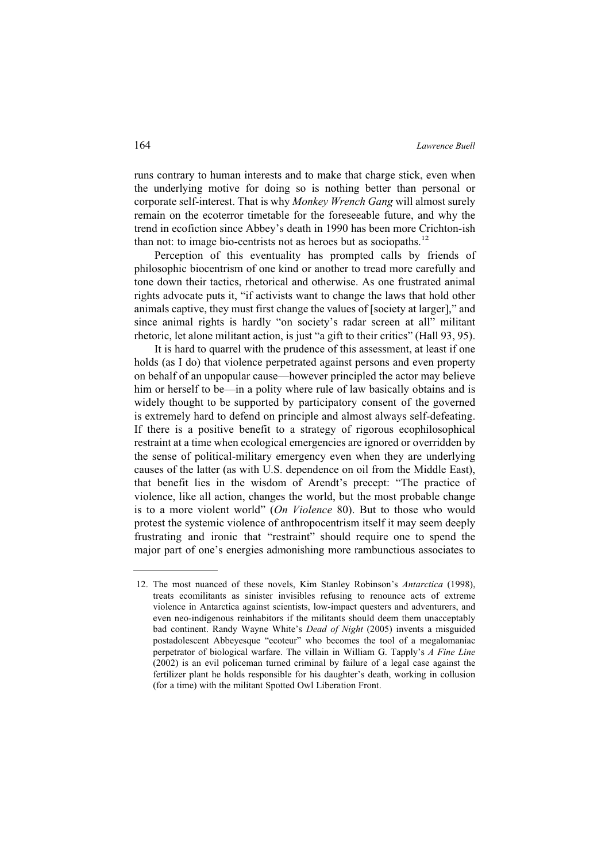runs contrary to human interests and to make that charge stick, even when the underlying motive for doing so is nothing better than personal or corporate self-interest. That is why *Monkey Wrench Gang* will almost surely remain on the ecoterror timetable for the foreseeable future, and why the trend in ecofiction since Abbey's death in 1990 has been more Crichton-ish than not: to image bio-centrists not as heroes but as sociopaths.<sup>12</sup>

Perception of this eventuality has prompted calls by friends of philosophic biocentrism of one kind or another to tread more carefully and tone down their tactics, rhetorical and otherwise. As one frustrated animal rights advocate puts it, "if activists want to change the laws that hold other animals captive, they must first change the values of [society at larger]," and since animal rights is hardly "on society's radar screen at all" militant rhetoric, let alone militant action, is just "a gift to their critics" (Hall 93, 95).

It is hard to quarrel with the prudence of this assessment, at least if one holds (as I do) that violence perpetrated against persons and even property on behalf of an unpopular cause—however principled the actor may believe him or herself to be—in a polity where rule of law basically obtains and is widely thought to be supported by participatory consent of the governed is extremely hard to defend on principle and almost always self-defeating. If there is a positive benefit to a strategy of rigorous ecophilosophical restraint at a time when ecological emergencies are ignored or overridden by the sense of political-military emergency even when they are underlying causes of the latter (as with U.S. dependence on oil from the Middle East), that benefit lies in the wisdom of Arendt's precept: "The practice of violence, like all action, changes the world, but the most probable change is to a more violent world" (*On Violence* 80). But to those who would protest the systemic violence of anthropocentrism itself it may seem deeply frustrating and ironic that "restraint" should require one to spend the major part of one's energies admonishing more rambunctious associates to

<sup>12.</sup> The most nuanced of these novels, Kim Stanley Robinson's *Antarctica* (1998), treats ecomilitants as sinister invisibles refusing to renounce acts of extreme violence in Antarctica against scientists, low-impact questers and adventurers, and even neo-indigenous reinhabitors if the militants should deem them unacceptably bad continent. Randy Wayne White's *Dead of Night* (2005) invents a misguided postadolescent Abbeyesque "ecoteur" who becomes the tool of a megalomaniac perpetrator of biological warfare. The villain in William G. Tapply's *A Fine Line* (2002) is an evil policeman turned criminal by failure of a legal case against the fertilizer plant he holds responsible for his daughter's death, working in collusion (for a time) with the militant Spotted Owl Liberation Front.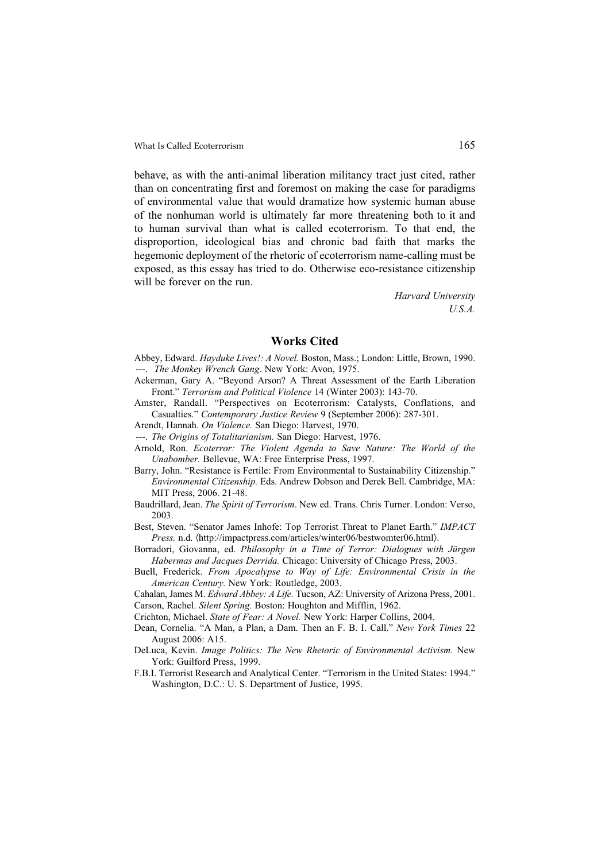behave, as with the anti-animal liberation militancy tract just cited, rather than on concentrating first and foremost on making the case for paradigms of environmental value that would dramatize how systemic human abuse of the nonhuman world is ultimately far more threatening both to it and to human survival than what is called ecoterrorism. To that end, the disproportion, ideological bias and chronic bad faith that marks the hegemonic deployment of the rhetoric of ecoterrorism name-calling must be exposed, as this essay has tried to do. Otherwise eco-resistance citizenship will be forever on the run.

> *Harvard University U.S.A.*

#### Works Cited

Abbey, Edward. *Hayduke Lives!: A Novel.* Boston, Mass.; London: Little, Brown, 1990. ---. *The Monkey Wrench Gang*. New York: Avon, 1975.

- Ackerman, Gary A. "Beyond Arson? A Threat Assessment of the Earth Liberation Front." *Terrorism and Political Violence* 14 (Winter 2003): 143-70.
- Amster, Randall. "Perspectives on Ecoterrorism: Catalysts, Conflations, and Casualties." *Contemporary Justice Review* 9 (September 2006): 287-301.
- Arendt, Hannah. *On Violence.* San Diego: Harvest, 1970.
- ---. *The Origins of Totalitarianism.* San Diego: Harvest, 1976.
- Arnold, Ron. *Ecoterror: The Violent Agenda to Save Nature: The World of the Unabomber.* Bellevue, WA: Free Enterprise Press, 1997.
- Barry, John. "Resistance is Fertile: From Environmental to Sustainability Citizenship." *Environmental Citizenship.* Eds. Andrew Dobson and Derek Bell. Cambridge, MA: MIT Press, 2006. 21-48.
- Baudrillard, Jean. *The Spirit of Terrorism*. New ed. Trans. Chris Turner. London: Verso, 2003.
- Best, Steven. "Senator James Inhofe: Top Terrorist Threat to Planet Earth." *IMPACT Press.* n.d.  $\langle$ http://impactpress.com/articles/winter06/bestwomter06.html $\rangle$ .
- Borradori, Giovanna, ed. *Philosophy in a Time of Terror: Dialogues with Jürgen Habermas and Jacques Derrida.* Chicago: University of Chicago Press, 2003.
- Buell, Frederick. *From Apocalypse to Way of Life: Environmental Crisis in the American Century.* New York: Routledge, 2003.
- Cahalan, James M. *Edward Abbey: A Life.* Tucson, AZ: University of Arizona Press, 2001. Carson, Rachel. *Silent Spring.* Boston: Houghton and Mifflin, 1962.
- Crichton, Michael. *State of Fear: A Novel.* New York: Harper Collins, 2004.
- Dean, Cornelia. "A Man, a Plan, a Dam. Then an F. B. I. Call." *New York Times* 22 August 2006: A15.
- DeLuca, Kevin. *Image Politics: The New Rhetoric of Environmental Activism.* New York: Guilford Press, 1999.
- F.B.I. Terrorist Research and Analytical Center. "Terrorism in the United States: 1994." Washington, D.C.: U. S. Department of Justice, 1995.